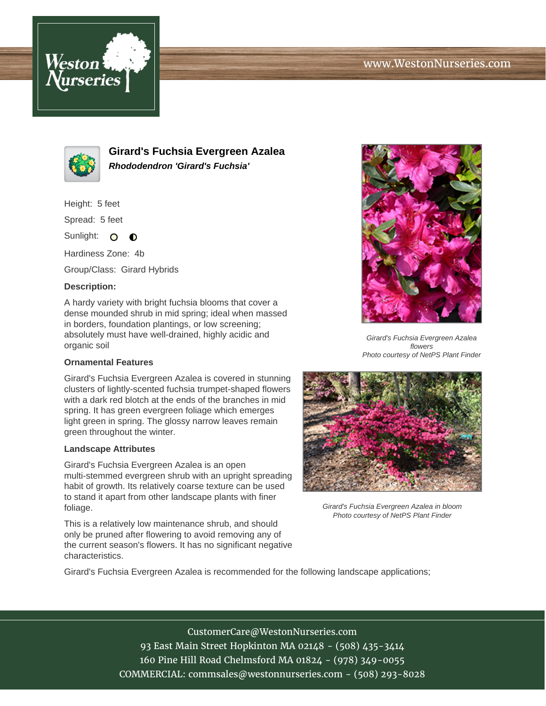



**Girard's Fuchsia Evergreen Azalea Rhododendron 'Girard's Fuchsia'**

Height: 5 feet

Spread: 5 feet

Sunlight: O  $\bullet$ 

Hardiness Zone: 4b

Group/Class: Girard Hybrids

## **Description:**

A hardy variety with bright fuchsia blooms that cover a dense mounded shrub in mid spring; ideal when massed in borders, foundation plantings, or low screening; absolutely must have well-drained, highly acidic and organic soil

## **Ornamental Features**

Girard's Fuchsia Evergreen Azalea is covered in stunning clusters of lightly-scented fuchsia trumpet-shaped flowers with a dark red blotch at the ends of the branches in mid spring. It has green evergreen foliage which emerges light green in spring. The glossy narrow leaves remain green throughout the winter.

## **Landscape Attributes**

Girard's Fuchsia Evergreen Azalea is an open multi-stemmed evergreen shrub with an upright spreading habit of growth. Its relatively coarse texture can be used to stand it apart from other landscape plants with finer foliage.

This is a relatively low maintenance shrub, and should only be pruned after flowering to avoid removing any of the current season's flowers. It has no significant negative characteristics.



Girard's Fuchsia Evergreen Azalea flowers Photo courtesy of NetPS Plant Finder



Girard's Fuchsia Evergreen Azalea in bloom Photo courtesy of NetPS Plant Finder

Girard's Fuchsia Evergreen Azalea is recommended for the following landscape applications;

CustomerCare@WestonNurseries.com 93 East Main Street Hopkinton MA 02148 - (508) 435-3414 160 Pine Hill Road Chelmsford MA 01824 - (978) 349-0055 COMMERCIAL: commsales@westonnurseries.com - (508) 293-8028